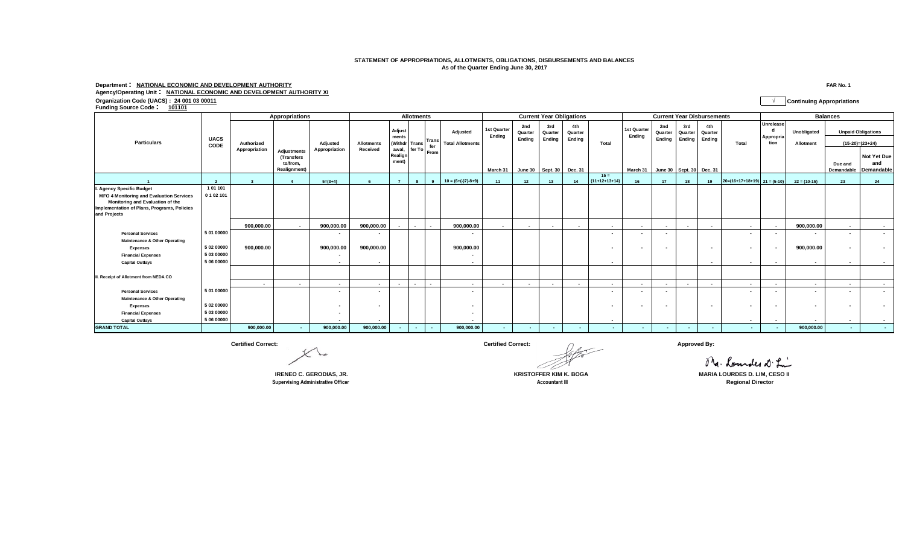## **STATEMENT OF APPROPRIATIONS, ALLOTMENTS, OBLIGATIONS, DISBURSEMENTS AND BALANCES As of the Quarter Ending June 30, 2017**

## **Department : NATIONAL ECONOMIC AND DEVELOPMENT AUTHORITY FAR No. 1 Agency/Operating Unit : NATIONAL ECONOMIC AND DEVELOPMENT AUTHORITY XI Organization Code (UACS) : 24 001 03 00011 √ Continuing Appropriations Funding Source Code : <sup>101101</sup>**

|                                                                                                                                                    | <b>UACS</b><br>CODE      | Appropriations              | <b>Allotments</b>                                                   |                           |                               |                                                         |                           | <b>Current Year Obligations</b> |                                            |                                   |                          |                                                | <b>Current Year Disbursements</b>   |                           |                                   |                          |                                                          | <b>Balances</b>          |                                |                          |                |                       |                                         |
|----------------------------------------------------------------------------------------------------------------------------------------------------|--------------------------|-----------------------------|---------------------------------------------------------------------|---------------------------|-------------------------------|---------------------------------------------------------|---------------------------|---------------------------------|--------------------------------------------|-----------------------------------|--------------------------|------------------------------------------------|-------------------------------------|---------------------------|-----------------------------------|--------------------------|----------------------------------------------------------|--------------------------|--------------------------------|--------------------------|----------------|-----------------------|-----------------------------------------|
| <b>Particulars</b>                                                                                                                                 |                          | Authorized<br>Appropriation |                                                                     | Adjusted<br>Appropriation | <b>Allotments</b><br>Received | Adjust<br>ments<br>(Withdr<br>awal,<br>Realign<br>ment) | <b>Trans</b>              |                                 | <b>Adiusted</b><br><b>Total Allotments</b> | 1st Quarter<br>Endina<br>March 31 | 2nd<br>Quarter<br>Ending | 3rd<br>Quarter<br>Ending<br>June 30   Sept. 30 | 4th<br>Quarter<br>Endina<br>Dec. 31 | Total                     | 1st Quarter<br>Endina<br>March 31 | 2nd<br>Quarter<br>Ending | 3rd<br>Quarter<br>Ending<br>June 30   Sept. 30   Dec. 31 | 4th<br>Quarter<br>Ending | Total                          | Unrelease<br>Appropria   | Unobligated    |                       | <b>Unpaid Obligations</b>               |
|                                                                                                                                                    |                          |                             |                                                                     |                           |                               |                                                         |                           | <b>Trans</b><br>fer             |                                            |                                   |                          |                                                |                                     |                           |                                   |                          |                                                          |                          |                                | tion                     | Allotment      | $(15-20)=(23+24)$     |                                         |
|                                                                                                                                                    |                          |                             | <b>Adjustments</b><br>(Transfers<br>to/from.<br><b>Realignment)</b> |                           |                               |                                                         |                           | l fer To From I                 |                                            |                                   |                          |                                                |                                     |                           |                                   |                          |                                                          |                          |                                |                          |                | Due and<br>Demandable | Not Yet Due<br>and<br><b>Demandable</b> |
|                                                                                                                                                    |                          | $\overline{\phantom{a}}$    |                                                                     | $5=(3+4)$                 |                               |                                                         |                           | $\mathbf{q}$                    | $10 = (6+(-17)-8+9)$                       |                                   | 12                       | 13                                             | 14                                  | $15 =$<br>$(11+12+13+14)$ | 16                                | 17                       | 18                                                       | 19                       | $20=(16+17+18+19)$ $21=(5-10)$ |                          | $22 = (10-15)$ | 23                    | 24                                      |
| <b>Agency Specific Budget</b>                                                                                                                      | 101101                   |                             |                                                                     |                           |                               |                                                         |                           |                                 |                                            |                                   |                          |                                                |                                     |                           |                                   |                          |                                                          |                          |                                |                          |                |                       |                                         |
| <b>MFO 4 Monitoring and Evaluation Services</b><br>Monitoring and Evaluation of the<br>Implementation of Plans, Programs, Policies<br>and Projects | 0 1 0 2 1 0 1            |                             |                                                                     |                           |                               |                                                         |                           |                                 |                                            |                                   |                          |                                                |                                     |                           |                                   |                          |                                                          |                          |                                |                          |                |                       |                                         |
|                                                                                                                                                    |                          | 900.000.00                  | $\sim$                                                              | 900.000.00                | 900,000.00                    |                                                         | $\overline{\phantom{a}}$  | $\blacksquare$                  | 900,000.00                                 | $\sim$                            |                          | $\overline{\phantom{a}}$                       | $\overline{a}$                      | $\overline{\phantom{a}}$  | $\sim$                            |                          |                                                          |                          | $\blacksquare$                 | $\sim$                   | 900.000.00     | $\sim$                | $\overline{\phantom{a}}$                |
| <b>Personal Services</b>                                                                                                                           | 5 01 00000               |                             |                                                                     |                           |                               |                                                         |                           |                                 |                                            |                                   |                          |                                                |                                     | $\overline{\phantom{a}}$  | $\sim$                            |                          |                                                          |                          | $\blacksquare$                 |                          |                |                       |                                         |
| <b>Maintenance &amp; Other Operating</b>                                                                                                           |                          |                             |                                                                     |                           |                               |                                                         |                           |                                 |                                            |                                   |                          |                                                |                                     |                           |                                   |                          |                                                          |                          |                                |                          |                |                       |                                         |
| <b>Expenses</b>                                                                                                                                    | 5 02 00000               | 900,000.00                  |                                                                     | 900,000.00                | 900,000.00                    |                                                         |                           |                                 | 900,000.00                                 |                                   |                          |                                                |                                     | $\overline{\phantom{a}}$  |                                   |                          |                                                          |                          | $\blacksquare$                 | $\overline{\phantom{a}}$ | 900,000.00     |                       |                                         |
| <b>Financial Expenses</b>                                                                                                                          | 5 03 00000<br>5 06 00000 |                             |                                                                     |                           |                               |                                                         |                           |                                 | $\overline{\phantom{a}}$                   |                                   |                          |                                                |                                     |                           |                                   |                          |                                                          |                          |                                |                          |                |                       |                                         |
| <b>Capital Outlays</b>                                                                                                                             |                          |                             |                                                                     | $\blacksquare$            | $\overline{\phantom{a}}$      |                                                         |                           |                                 | $\overline{\phantom{a}}$                   |                                   |                          |                                                |                                     | $\overline{\phantom{a}}$  |                                   |                          |                                                          |                          | $\blacksquare$                 | $\overline{\phantom{a}}$ | $\sim$         | $\sim$                |                                         |
| I. Receipt of Allotment from NEDA CO                                                                                                               |                          |                             |                                                                     |                           |                               |                                                         |                           |                                 |                                            |                                   |                          |                                                |                                     |                           |                                   |                          |                                                          |                          |                                |                          |                |                       |                                         |
|                                                                                                                                                    |                          | $\sim$                      | $\sim$                                                              | $\overline{a}$            | $\sim$                        | $\sim$                                                  | $\blacksquare$            | $\sim$                          | $\overline{\phantom{a}}$                   | $\sim$                            | $\overline{\phantom{a}}$ | $\overline{\phantom{a}}$                       | $\sim$                              | $\sim$                    | $\sim$                            | $\overline{\phantom{a}}$ | $\sim$                                                   | $\sim$                   | $\blacksquare$                 | $\sim$                   | $\sim$         | $\sim$                | $\sim$ 100 $\mu$                        |
| <b>Personal Services</b>                                                                                                                           | 5 01 00000               |                             |                                                                     |                           |                               |                                                         |                           |                                 | $\sim$                                     |                                   |                          |                                                |                                     | $\overline{\phantom{a}}$  |                                   |                          |                                                          |                          | $\blacksquare$                 | $\overline{\phantom{a}}$ |                |                       |                                         |
| <b>Maintenance &amp; Other Operating</b>                                                                                                           |                          |                             |                                                                     |                           |                               |                                                         |                           |                                 |                                            |                                   |                          |                                                |                                     |                           |                                   |                          |                                                          |                          |                                |                          |                |                       |                                         |
| <b>Expenses</b>                                                                                                                                    | 5 02 00000               |                             |                                                                     |                           |                               |                                                         |                           |                                 | $\overline{\phantom{a}}$                   |                                   |                          |                                                |                                     |                           |                                   |                          |                                                          |                          | $\blacksquare$                 | $\sim$                   |                |                       |                                         |
| <b>Financial Expenses</b>                                                                                                                          | 5 03 00000<br>5 06 00000 |                             |                                                                     |                           |                               |                                                         |                           |                                 |                                            |                                   |                          |                                                |                                     |                           |                                   |                          |                                                          |                          |                                |                          |                |                       |                                         |
| <b>Capital Outlavs</b>                                                                                                                             |                          |                             |                                                                     |                           | $\overline{\phantom{a}}$      |                                                         |                           |                                 |                                            |                                   |                          |                                                |                                     | $\overline{\phantom{a}}$  |                                   |                          |                                                          |                          | $\blacksquare$                 | $\overline{\phantom{a}}$ |                |                       | $\overline{\phantom{a}}$                |
| <b>GRAND TOTAL</b>                                                                                                                                 |                          | 900,000.00                  | <b>Section</b>                                                      | 900,000.00                | 900,000.00                    |                                                         | <b><i><u>ALCO</u></i></b> | $\sim$                          | 900,000.00                                 | <b>A</b>                          |                          | $\sim$                                         | $\sim$                              | $\sim$                    | $\sim$                            |                          | ٠                                                        | $\sim$                   | $\sim$                         | ۰.                       | 900,000.00     | ۰.                    | $\sim$                                  |

**COUNTED ACCOUNTS ACCOUNTS ACCOUNTS ACCOUNTS ACCOUNTS ACCOUNTS ARE ALL SECOUNTS ARE ACCOUNTS ARE ACCOUNTS AND REGIONAL DIRECTOR** 

**Certified Correct: Certified Correct: Approved By:**

Mg. Loundes at Lin **IRENEO C. GERODIAS, JR. KRISTOFFER KIM K. BOGA MARIA LOURDES D. LIM, CESO II**